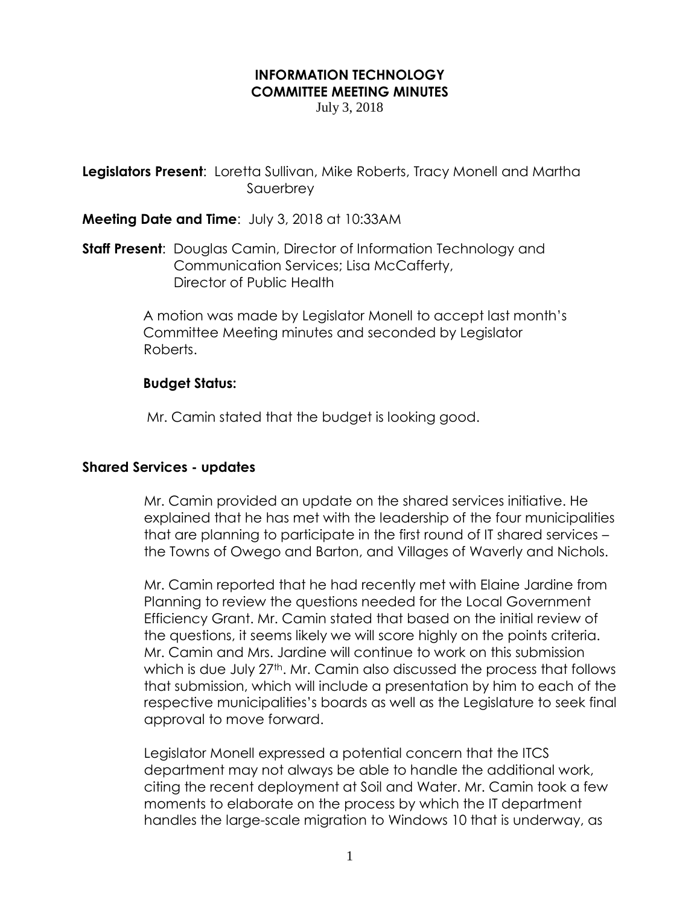# **INFORMATION TECHNOLOGY COMMITTEE MEETING MINUTES**

July 3, 2018

**Legislators Present**: Loretta Sullivan, Mike Roberts, Tracy Monell and Martha Sauerbrey

**Meeting Date and Time**: July 3, 2018 at 10:33AM

**Staff Present**: Douglas Camin, Director of Information Technology and Communication Services; Lisa McCafferty, Director of Public Health

> A motion was made by Legislator Monell to accept last month's Committee Meeting minutes and seconded by Legislator Roberts.

# **Budget Status:**

Mr. Camin stated that the budget is looking good.

### **Shared Services - updates**

Mr. Camin provided an update on the shared services initiative. He explained that he has met with the leadership of the four municipalities that are planning to participate in the first round of IT shared services – the Towns of Owego and Barton, and Villages of Waverly and Nichols.

Mr. Camin reported that he had recently met with Elaine Jardine from Planning to review the questions needed for the Local Government Efficiency Grant. Mr. Camin stated that based on the initial review of the questions, it seems likely we will score highly on the points criteria. Mr. Camin and Mrs. Jardine will continue to work on this submission which is due July 27<sup>th</sup>. Mr. Camin also discussed the process that follows that submission, which will include a presentation by him to each of the respective municipalities's boards as well as the Legislature to seek final approval to move forward.

Legislator Monell expressed a potential concern that the ITCS department may not always be able to handle the additional work, citing the recent deployment at Soil and Water. Mr. Camin took a few moments to elaborate on the process by which the IT department handles the large-scale migration to Windows 10 that is underway, as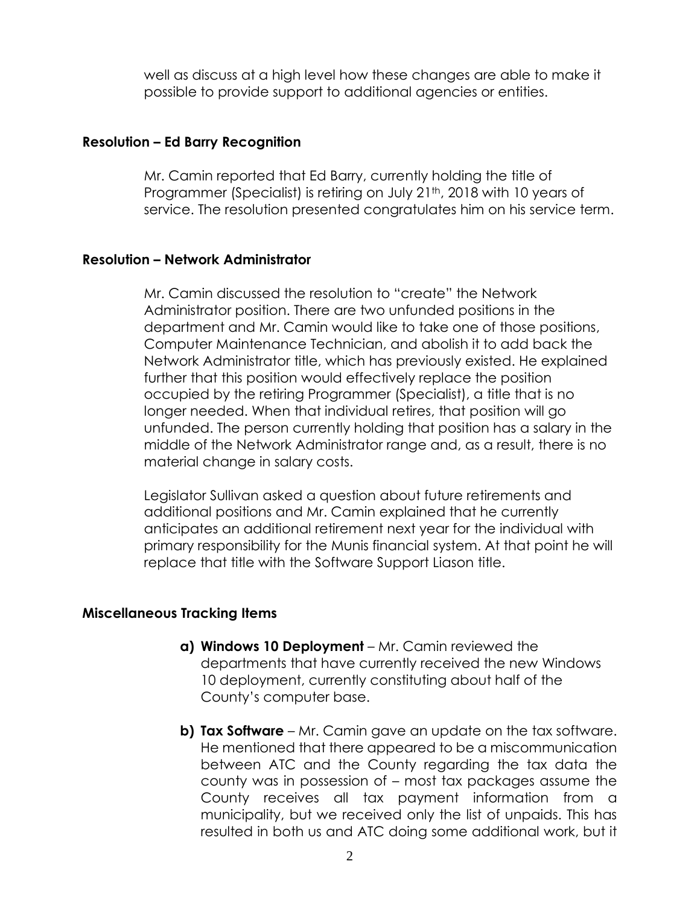well as discuss at a high level how these changes are able to make it possible to provide support to additional agencies or entities.

### **Resolution – Ed Barry Recognition**

Mr. Camin reported that Ed Barry, currently holding the title of Programmer (Specialist) is retiring on July 21<sup>th</sup>, 2018 with 10 years of service. The resolution presented congratulates him on his service term.

# **Resolution – Network Administrator**

Mr. Camin discussed the resolution to "create" the Network Administrator position. There are two unfunded positions in the department and Mr. Camin would like to take one of those positions, Computer Maintenance Technician, and abolish it to add back the Network Administrator title, which has previously existed. He explained further that this position would effectively replace the position occupied by the retiring Programmer (Specialist), a title that is no longer needed. When that individual retires, that position will go unfunded. The person currently holding that position has a salary in the middle of the Network Administrator range and, as a result, there is no material change in salary costs.

Legislator Sullivan asked a question about future retirements and additional positions and Mr. Camin explained that he currently anticipates an additional retirement next year for the individual with primary responsibility for the Munis financial system. At that point he will replace that title with the Software Support Liason title.

### **Miscellaneous Tracking Items**

- **a) Windows 10 Deployment** Mr. Camin reviewed the departments that have currently received the new Windows 10 deployment, currently constituting about half of the County's computer base.
- **b) Tax Software** Mr. Camin gave an update on the tax software. He mentioned that there appeared to be a miscommunication between ATC and the County regarding the tax data the county was in possession of – most tax packages assume the County receives all tax payment information from a municipality, but we received only the list of unpaids. This has resulted in both us and ATC doing some additional work, but it